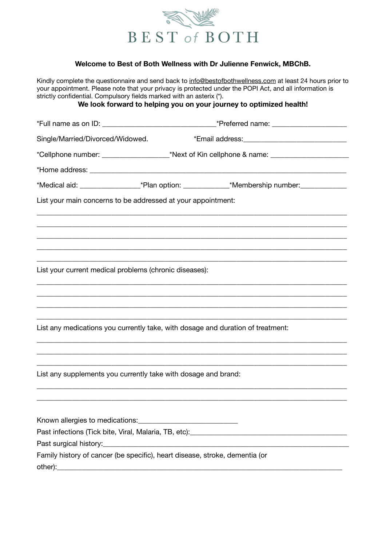

## **Welcome to Best of Both Wellness with Dr Julienne Fenwick, MBChB.**

Kindly complete the questionnaire and send back to [info@bestofbothwellness.com](mailto:info@bestofbothwellness.com) at least 24 hours prior to your appointment. Please note that your privacy is protected under the POPI Act, and all information is strictly confidential. Compulsory fields marked with an asterix (\*). **We look forward to helping you on your journey to optimized health!**  \*Full name as on ID: \_\_\_\_\_\_\_\_\_\_\_\_\_\_\_\_\_\_\_\_\_\_\_\_\_\_\_\_\_\_\_\_\*Preferred name: \_\_\_\_\_\_\_\_\_\_\_\_\_\_\_\_\_\_\_\_\_ Single/Married/Divorced/Widowed. \*\* \* \* Email address: \*Cellphone number: \_\_\_\_\_\_\_\_\_\_\_\_\_\_\_\_\_\_\_\*Next of Kin cellphone & name: \_\_\_\_\_\_\_\_\_\_\_\_\_\_\_\_\_\_\_\_\_\_ \*Home address: **with a set of the set of the set of the set of the set of the set of the set of the set of the set of the set of the set of the set of the set of the set of the set of the set of the set of the set of the s** \*Medical aid: \_\_\_\_\_\_\_\_\_\_\_\_\_\_\_\_\_\_\_\_\_\_\_\_\_\_\*Plan option: \_\_\_\_\_\_\_\_\_\_\_\_\_\_\_\_\_\_\_\_\_\_\_\_\_\_\*Membership number: List your main concerns to be addressed at your appointment: \_\_\_\_\_\_\_\_\_\_\_\_\_\_\_\_\_\_\_\_\_\_\_\_\_\_\_\_\_\_\_\_\_\_\_\_\_\_\_\_\_\_\_\_\_\_\_\_\_\_\_\_\_\_\_\_\_\_\_\_\_\_\_\_\_\_\_\_\_\_\_\_\_\_\_\_\_\_\_\_\_\_\_\_\_\_\_ \_\_\_\_\_\_\_\_\_\_\_\_\_\_\_\_\_\_\_\_\_\_\_\_\_\_\_\_\_\_\_\_\_\_\_\_\_\_\_\_\_\_\_\_\_\_\_\_\_\_\_\_\_\_\_\_\_\_\_\_\_\_\_\_\_\_\_\_\_\_\_\_\_\_\_\_\_\_\_\_\_\_\_\_\_\_\_ \_\_\_\_\_\_\_\_\_\_\_\_\_\_\_\_\_\_\_\_\_\_\_\_\_\_\_\_\_\_\_\_\_\_\_\_\_\_\_\_\_\_\_\_\_\_\_\_\_\_\_\_\_\_\_\_\_\_\_\_\_\_\_\_\_\_\_\_\_\_\_\_\_\_\_\_\_\_\_\_\_\_\_\_\_\_\_ \_\_\_\_\_\_\_\_\_\_\_\_\_\_\_\_\_\_\_\_\_\_\_\_\_\_\_\_\_\_\_\_\_\_\_\_\_\_\_\_\_\_\_\_\_\_\_\_\_\_\_\_\_\_\_\_\_\_\_\_\_\_\_\_\_\_\_\_\_\_\_\_\_\_\_\_\_\_\_\_\_\_\_\_\_\_\_ \_\_\_\_\_\_\_\_\_\_\_\_\_\_\_\_\_\_\_\_\_\_\_\_\_\_\_\_\_\_\_\_\_\_\_\_\_\_\_\_\_\_\_\_\_\_\_\_\_\_\_\_\_\_\_\_\_\_\_\_\_\_\_\_\_\_\_\_\_\_\_\_\_\_\_\_\_\_\_\_\_\_\_\_\_\_\_ List your current medical problems (chronic diseases): \_\_\_\_\_\_\_\_\_\_\_\_\_\_\_\_\_\_\_\_\_\_\_\_\_\_\_\_\_\_\_\_\_\_\_\_\_\_\_\_\_\_\_\_\_\_\_\_\_\_\_\_\_\_\_\_\_\_\_\_\_\_\_\_\_\_\_\_\_\_\_\_\_\_\_\_\_\_\_\_\_\_\_\_\_\_\_ \_\_\_\_\_\_\_\_\_\_\_\_\_\_\_\_\_\_\_\_\_\_\_\_\_\_\_\_\_\_\_\_\_\_\_\_\_\_\_\_\_\_\_\_\_\_\_\_\_\_\_\_\_\_\_\_\_\_\_\_\_\_\_\_\_\_\_\_\_\_\_\_\_\_\_\_\_\_\_\_\_\_\_\_\_\_\_ \_\_\_\_\_\_\_\_\_\_\_\_\_\_\_\_\_\_\_\_\_\_\_\_\_\_\_\_\_\_\_\_\_\_\_\_\_\_\_\_\_\_\_\_\_\_\_\_\_\_\_\_\_\_\_\_\_\_\_\_\_\_\_\_\_\_\_\_\_\_\_\_\_\_\_\_\_\_\_\_\_\_\_\_\_\_\_ \_\_\_\_\_\_\_\_\_\_\_\_\_\_\_\_\_\_\_\_\_\_\_\_\_\_\_\_\_\_\_\_\_\_\_\_\_\_\_\_\_\_\_\_\_\_\_\_\_\_\_\_\_\_\_\_\_\_\_\_\_\_\_\_\_\_\_\_\_\_\_\_\_\_\_\_\_\_\_\_\_\_\_\_\_\_\_ List any medications you currently take, with dosage and duration of treatment: \_\_\_\_\_\_\_\_\_\_\_\_\_\_\_\_\_\_\_\_\_\_\_\_\_\_\_\_\_\_\_\_\_\_\_\_\_\_\_\_\_\_\_\_\_\_\_\_\_\_\_\_\_\_\_\_\_\_\_\_\_\_\_\_\_\_\_\_\_\_\_\_\_\_\_\_\_\_\_\_\_\_\_\_\_\_\_ \_\_\_\_\_\_\_\_\_\_\_\_\_\_\_\_\_\_\_\_\_\_\_\_\_\_\_\_\_\_\_\_\_\_\_\_\_\_\_\_\_\_\_\_\_\_\_\_\_\_\_\_\_\_\_\_\_\_\_\_\_\_\_\_\_\_\_\_\_\_\_\_\_\_\_\_\_\_\_\_\_\_\_\_\_\_\_ \_\_\_\_\_\_\_\_\_\_\_\_\_\_\_\_\_\_\_\_\_\_\_\_\_\_\_\_\_\_\_\_\_\_\_\_\_\_\_\_\_\_\_\_\_\_\_\_\_\_\_\_\_\_\_\_\_\_\_\_\_\_\_\_\_\_\_\_\_\_\_\_\_\_\_\_\_\_\_\_\_\_\_\_\_\_\_ List any supplements you currently take with dosage and brand: \_\_\_\_\_\_\_\_\_\_\_\_\_\_\_\_\_\_\_\_\_\_\_\_\_\_\_\_\_\_\_\_\_\_\_\_\_\_\_\_\_\_\_\_\_\_\_\_\_\_\_\_\_\_\_\_\_\_\_\_\_\_\_\_\_\_\_\_\_\_\_\_\_\_\_\_\_\_\_\_\_\_\_\_\_\_\_ \_\_\_\_\_\_\_\_\_\_\_\_\_\_\_\_\_\_\_\_\_\_\_\_\_\_\_\_\_\_\_\_\_\_\_\_\_\_\_\_\_\_\_\_\_\_\_\_\_\_\_\_\_\_\_\_\_\_\_\_\_\_\_\_\_\_\_\_\_\_\_\_\_\_\_\_\_\_\_\_\_\_\_\_\_\_\_ Known allergies to medications: Past infections (Tick bite, Viral, Malaria, TB, etc):\_\_\_\_\_\_\_\_\_\_\_\_\_\_\_\_\_\_\_\_\_\_\_\_\_\_\_\_\_\_\_\_\_\_\_\_\_\_\_\_\_\_\_\_ Past surgical history: Family history of cancer (be specific), heart disease, stroke, dementia (or  $other):$